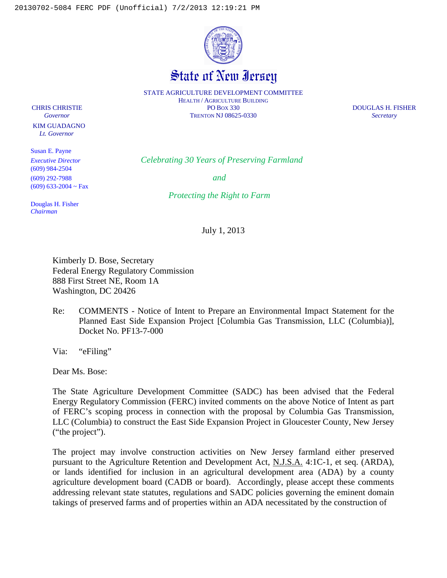

State of New Iersey

STATE AGRICULTURE DEVELOPMENT COMMITTEE HEALTH / AGRICULTURE BUILDING CHRIS CHRISTIE PO BOX 330 DOUGLAS H. FISHER *Governor* TRENTON NJ 08625-0330 *Secretary*

 KIM GUADAGNO  *Lt. Governor*

Susan E. Payne (609) 984-2504 (609) 292-7988 *and* (609) 633-2004 ~ Fax

*Executive Director Celebrating 30 Years of Preserving Farmland*

*Protecting the Right to Farm*

Douglas H. Fisher *Chairman*

July 1, 2013

Kimberly D. Bose, Secretary Federal Energy Regulatory Commission 888 First Street NE, Room 1A Washington, DC 20426

Re: COMMENTS - Notice of Intent to Prepare an Environmental Impact Statement for the Planned East Side Expansion Project [Columbia Gas Transmission, LLC (Columbia)], Docket No. PF13-7-000

Via: "eFiling"

Dear Ms. Bose:

The State Agriculture Development Committee (SADC) has been advised that the Federal Energy Regulatory Commission (FERC) invited comments on the above Notice of Intent as part of FERC's scoping process in connection with the proposal by Columbia Gas Transmission, LLC (Columbia) to construct the East Side Expansion Project in Gloucester County, New Jersey ("the project").

The project may involve construction activities on New Jersey farmland either preserved pursuant to the Agriculture Retention and Development Act, N.J.S.A. 4:1C-1, et seq. (ARDA), or lands identified for inclusion in an agricultural development area (ADA) by a county agriculture development board (CADB or board). Accordingly, please accept these comments addressing relevant state statutes, regulations and SADC policies governing the eminent domain takings of preserved farms and of properties within an ADA necessitated by the construction of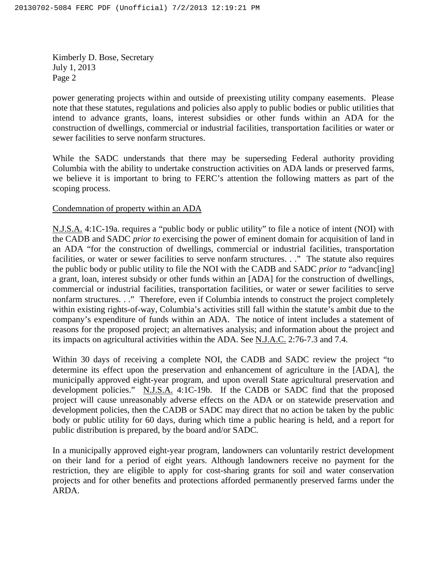Kimberly D. Bose, Secretary July 1, 2013 Page 2

power generating projects within and outside of preexisting utility company easements. Please note that these statutes, regulations and policies also apply to public bodies or public utilities that intend to advance grants, loans, interest subsidies or other funds within an ADA for the construction of dwellings, commercial or industrial facilities, transportation facilities or water or sewer facilities to serve nonfarm structures.

While the SADC understands that there may be superseding Federal authority providing Columbia with the ability to undertake construction activities on ADA lands or preserved farms, we believe it is important to bring to FERC's attention the following matters as part of the scoping process.

# Condemnation of property within an ADA

N.J.S.A. 4:1C-19a. requires a "public body or public utility" to file a notice of intent (NOI) with the CADB and SADC *prior to* exercising the power of eminent domain for acquisition of land in an ADA "for the construction of dwellings, commercial or industrial facilities, transportation facilities, or water or sewer facilities to serve nonfarm structures. . ." The statute also requires the public body or public utility to file the NOI with the CADB and SADC *prior to* "advanc[ing] a grant, loan, interest subsidy or other funds within an [ADA] for the construction of dwellings, commercial or industrial facilities, transportation facilities, or water or sewer facilities to serve nonfarm structures. . ." Therefore, even if Columbia intends to construct the project completely within existing rights-of-way, Columbia's activities still fall within the statute's ambit due to the company's expenditure of funds within an ADA. The notice of intent includes a statement of reasons for the proposed project; an alternatives analysis; and information about the project and its impacts on agricultural activities within the ADA. See N.J.A.C. 2:76-7.3 and 7.4.

Within 30 days of receiving a complete NOI, the CADB and SADC review the project "to determine its effect upon the preservation and enhancement of agriculture in the [ADA], the municipally approved eight-year program, and upon overall State agricultural preservation and development policies." N.J.S.A. 4:1C-19b. If the CADB or SADC find that the proposed project will cause unreasonably adverse effects on the ADA or on statewide preservation and development policies, then the CADB or SADC may direct that no action be taken by the public body or public utility for 60 days, during which time a public hearing is held, and a report for public distribution is prepared, by the board and/or SADC.

In a municipally approved eight-year program, landowners can voluntarily restrict development on their land for a period of eight years. Although landowners receive no payment for the restriction, they are eligible to apply for cost-sharing grants for soil and water conservation projects and for other benefits and protections afforded permanently preserved farms under the ARDA.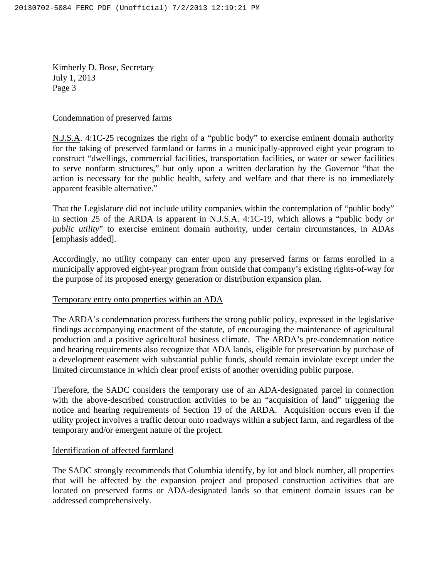Kimberly D. Bose, Secretary July 1, 2013 Page 3

## Condemnation of preserved farms

N.J.S.A. 4:1C-25 recognizes the right of a "public body" to exercise eminent domain authority for the taking of preserved farmland or farms in a municipally-approved eight year program to construct "dwellings, commercial facilities, transportation facilities, or water or sewer facilities to serve nonfarm structures," but only upon a written declaration by the Governor "that the action is necessary for the public health, safety and welfare and that there is no immediately apparent feasible alternative."

That the Legislature did not include utility companies within the contemplation of "public body" in section 25 of the ARDA is apparent in N.J.S.A. 4:1C-19, which allows a "public body *or public utility*" to exercise eminent domain authority, under certain circumstances, in ADAs [emphasis added].

Accordingly, no utility company can enter upon any preserved farms or farms enrolled in a municipally approved eight-year program from outside that company's existing rights-of-way for the purpose of its proposed energy generation or distribution expansion plan.

## Temporary entry onto properties within an ADA

The ARDA's condemnation process furthers the strong public policy, expressed in the legislative findings accompanying enactment of the statute, of encouraging the maintenance of agricultural production and a positive agricultural business climate. The ARDA's pre-condemnation notice and hearing requirements also recognize that ADA lands, eligible for preservation by purchase of a development easement with substantial public funds, should remain inviolate except under the limited circumstance in which clear proof exists of another overriding public purpose.

Therefore, the SADC considers the temporary use of an ADA-designated parcel in connection with the above-described construction activities to be an "acquisition of land" triggering the notice and hearing requirements of Section 19 of the ARDA. Acquisition occurs even if the utility project involves a traffic detour onto roadways within a subject farm, and regardless of the temporary and/or emergent nature of the project.

## Identification of affected farmland

The SADC strongly recommends that Columbia identify, by lot and block number, all properties that will be affected by the expansion project and proposed construction activities that are located on preserved farms or ADA-designated lands so that eminent domain issues can be addressed comprehensively.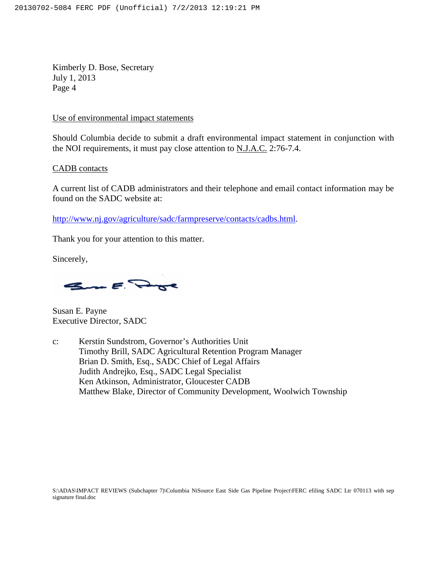Kimberly D. Bose, Secretary July 1, 2013 Page 4

### Use of environmental impact statements

Should Columbia decide to submit a draft environmental impact statement in conjunction with the NOI requirements, it must pay close attention to N.J.A.C. 2:76-7.4.

CADB contacts

A current list of CADB administrators and their telephone and email contact information may be found on the SADC website at:

http://www.nj.gov/agriculture/sadc/farmpreserve/contacts/cadbs.html.

Thank you for your attention to this matter.

Sincerely,

Sum E. Page

Susan E. Payne Executive Director, SADC

c: Kerstin Sundstrom, Governor's Authorities Unit Timothy Brill, SADC Agricultural Retention Program Manager Brian D. Smith, Esq., SADC Chief of Legal Affairs Judith Andrejko, Esq., SADC Legal Specialist Ken Atkinson, Administrator, Gloucester CADB Matthew Blake, Director of Community Development, Woolwich Township